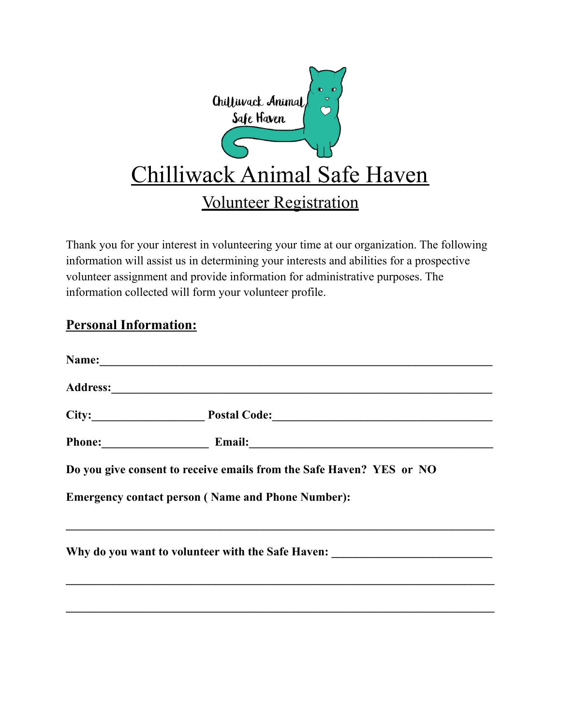

Thank you for your interest in volunteering your time at our organization. The following information will assist us in determining your interests and abilities for a prospective volunteer assignment and provide information for administrative purposes. The information collected will form your volunteer profile.

#### **Personal Information:**

| Name: Name:                                              |                                                                      |
|----------------------------------------------------------|----------------------------------------------------------------------|
|                                                          |                                                                      |
|                                                          | City: Postal Code: Postal Code:                                      |
|                                                          | Phone: Email: Email:                                                 |
|                                                          | Do you give consent to receive emails from the Safe Haven? YES or NO |
| <b>Emergency contact person (Name and Phone Number):</b> |                                                                      |
|                                                          | Why do you want to volunteer with the Safe Haven:                    |
|                                                          |                                                                      |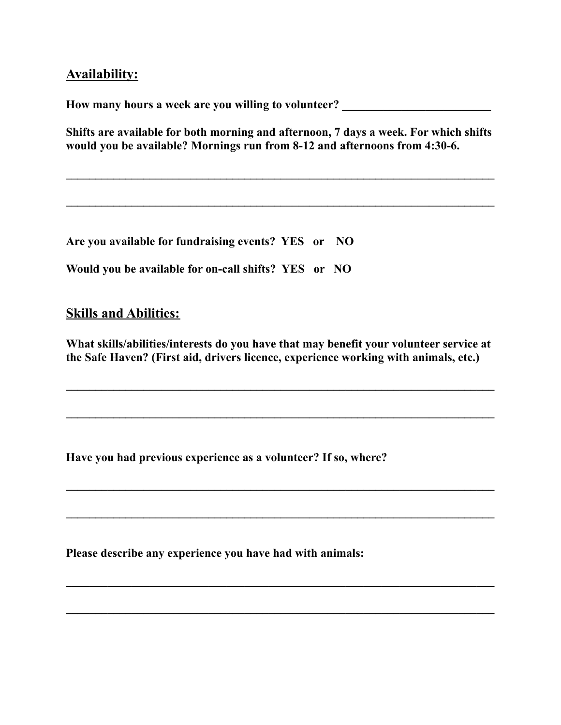#### **Availability:**

**How many hours a week are you willing to volunteer? \_\_\_\_\_\_\_\_\_\_\_\_\_\_\_\_\_\_\_\_\_\_\_\_\_**

**Shifts are available for both morning and afternoon, 7 days a week. For which shifts would you be available? Mornings run from 8-12 and afternoons from 4:30-6.**

**\_\_\_\_\_\_\_\_\_\_\_\_\_\_\_\_\_\_\_\_\_\_\_\_\_\_\_\_\_\_\_\_\_\_\_\_\_\_\_\_\_\_\_\_\_\_\_\_\_\_\_\_\_\_\_\_\_\_\_\_\_\_\_\_\_\_\_\_\_\_\_\_**

**\_\_\_\_\_\_\_\_\_\_\_\_\_\_\_\_\_\_\_\_\_\_\_\_\_\_\_\_\_\_\_\_\_\_\_\_\_\_\_\_\_\_\_\_\_\_\_\_\_\_\_\_\_\_\_\_\_\_\_\_\_\_\_\_\_\_\_\_\_\_\_\_**

**Are you available for fundraising events? YES or NO**

**Would you be available for on-call shifts? YES or NO**

#### **Skills and Abilities:**

**What skills/abilities/interests do you have that may benefit your volunteer service at the Safe Haven? (First aid, drivers licence, experience working with animals, etc.)**

**\_\_\_\_\_\_\_\_\_\_\_\_\_\_\_\_\_\_\_\_\_\_\_\_\_\_\_\_\_\_\_\_\_\_\_\_\_\_\_\_\_\_\_\_\_\_\_\_\_\_\_\_\_\_\_\_\_\_\_\_\_\_\_\_\_\_\_\_\_\_\_\_**

**\_\_\_\_\_\_\_\_\_\_\_\_\_\_\_\_\_\_\_\_\_\_\_\_\_\_\_\_\_\_\_\_\_\_\_\_\_\_\_\_\_\_\_\_\_\_\_\_\_\_\_\_\_\_\_\_\_\_\_\_\_\_\_\_\_\_\_\_\_\_\_\_**

**\_\_\_\_\_\_\_\_\_\_\_\_\_\_\_\_\_\_\_\_\_\_\_\_\_\_\_\_\_\_\_\_\_\_\_\_\_\_\_\_\_\_\_\_\_\_\_\_\_\_\_\_\_\_\_\_\_\_\_\_\_\_\_\_\_\_\_\_\_\_\_\_**

**\_\_\_\_\_\_\_\_\_\_\_\_\_\_\_\_\_\_\_\_\_\_\_\_\_\_\_\_\_\_\_\_\_\_\_\_\_\_\_\_\_\_\_\_\_\_\_\_\_\_\_\_\_\_\_\_\_\_\_\_\_\_\_\_\_\_\_\_\_\_\_\_**

**\_\_\_\_\_\_\_\_\_\_\_\_\_\_\_\_\_\_\_\_\_\_\_\_\_\_\_\_\_\_\_\_\_\_\_\_\_\_\_\_\_\_\_\_\_\_\_\_\_\_\_\_\_\_\_\_\_\_\_\_\_\_\_\_\_\_\_\_\_\_\_\_**

**\_\_\_\_\_\_\_\_\_\_\_\_\_\_\_\_\_\_\_\_\_\_\_\_\_\_\_\_\_\_\_\_\_\_\_\_\_\_\_\_\_\_\_\_\_\_\_\_\_\_\_\_\_\_\_\_\_\_\_\_\_\_\_\_\_\_\_\_\_\_\_\_**

**Have you had previous experience as a volunteer? If so, where?**

**Please describe any experience you have had with animals:**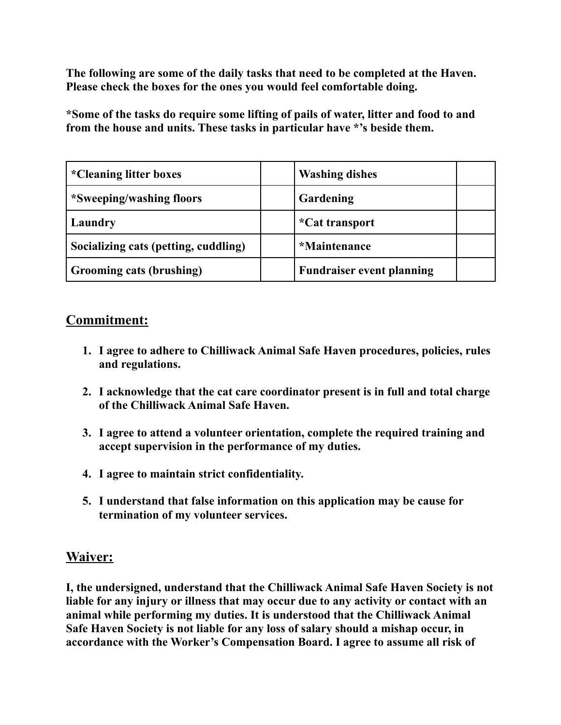**The following are some of the daily tasks that need to be completed at the Haven. Please check the boxes for the ones you would feel comfortable doing.**

**\*Some of the tasks do require some lifting of pails of water, litter and food to and from the house and units. These tasks in particular have \*'s beside them.**

| <i>*Cleaning litter boxes</i>        | <b>Washing dishes</b>            |  |
|--------------------------------------|----------------------------------|--|
| *Sweeping/washing floors             | Gardening                        |  |
| Laundry                              | <i>*Cat transport</i>            |  |
| Socializing cats (petting, cuddling) | <i>*Maintenance</i>              |  |
| Grooming cats (brushing)             | <b>Fundraiser event planning</b> |  |

#### **Commitment:**

- **1. I agree to adhere to Chilliwack Animal Safe Haven procedures, policies, rules and regulations.**
- **2. I acknowledge that the cat care coordinator present is in full and total charge of the Chilliwack Animal Safe Haven.**
- **3. I agree to attend a volunteer orientation, complete the required training and accept supervision in the performance of my duties.**
- **4. I agree to maintain strict confidentiality.**
- **5. I understand that false information on this application may be cause for termination of my volunteer services.**

#### **Waiver:**

**I, the undersigned, understand that the Chilliwack Animal Safe Haven Society is not liable for any injury or illness that may occur due to any activity or contact with an animal while performing my duties. It is understood that the Chilliwack Animal Safe Haven Society is not liable for any loss of salary should a mishap occur, in accordance with the Worker's Compensation Board. I agree to assume all risk of**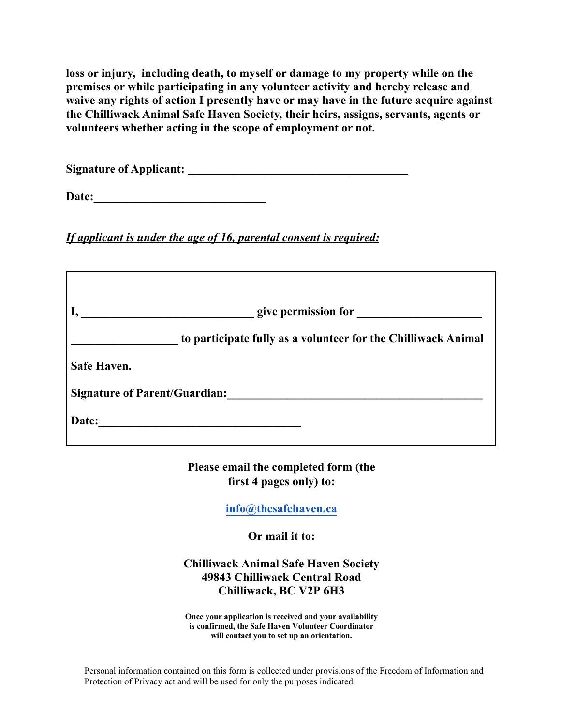**loss or injury, including death, to myself or damage to my property while on the premises or while participating in any volunteer activity and hereby release and waive any rights of action I presently have or may have in the future acquire against the Chilliwack Animal Safe Haven Society, their heirs, assigns, servants, agents or volunteers whether acting in the scope of employment or not.**

**Signature of Applicant:** 

Date:

*If applicant is under the age of 16, parental consent is required:*

|                                      | give permission for                                           |
|--------------------------------------|---------------------------------------------------------------|
|                                      | to participate fully as a volunteer for the Chilliwack Animal |
| Safe Haven.                          |                                                               |
| <b>Signature of Parent/Guardian:</b> |                                                               |
| Date:                                |                                                               |

**Please email the completed form (the first 4 pages only) to:**

**info@thesafehaven.ca**

**Or mail it to:**

**[Chilliwack Animal Safe Haven Society](mailto:info@thesafehaven.ca) 49843 Chilliwack Central Road Chilliwack, BC V2P 6H3**

**Once your application is received and your availability is confirmed, the Safe Haven Volunteer Coordinator will contact you to set up an orientation.**

Personal information contained on this form is collected under provisions of the Freedom of Information and Protection of Privacy act and will be used for only the purposes indicated.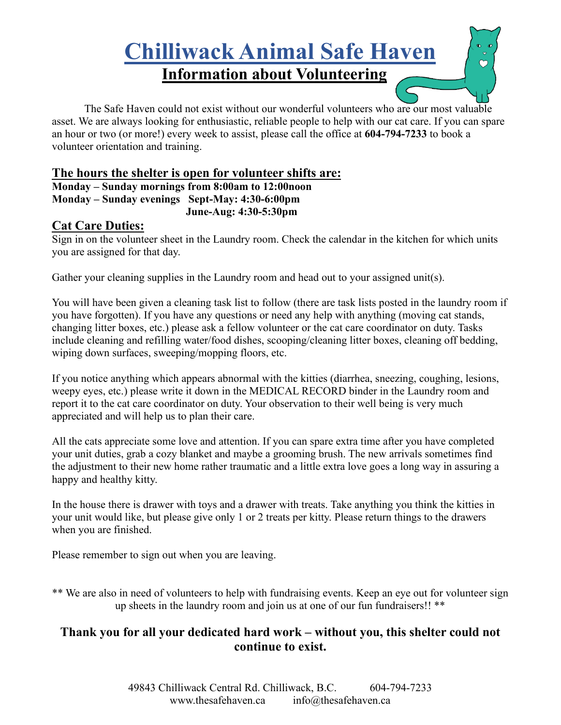# **Chilliwack Animal Safe Haven**<br>Information about Volunteering

The Safe Haven could not exist without our wonderful volunteers who are our most valuable asset. We are always looking for enthusiastic, reliable people to help with our cat care. If you can spare an hour or two (or more!) every week to assist, please call the office at **604-794-7233** to book a volunteer orientation and training.

#### **The hours the shelter is open for volunteer shifts are:**

**Monday – Sunday mornings from 8:00am to 12:00noon Monday – Sunday evenings Sept-May: 4:30-6:00pm June-Aug: 4:30-5:30pm**

#### **Cat Care Duties:**

Sign in on the volunteer sheet in the Laundry room. Check the calendar in the kitchen for which units you are assigned for that day.

Gather your cleaning supplies in the Laundry room and head out to your assigned unit(s).

You will have been given a cleaning task list to follow (there are task lists posted in the laundry room if you have forgotten). If you have any questions or need any help with anything (moving cat stands, changing litter boxes, etc.) please ask a fellow volunteer or the cat care coordinator on duty. Tasks include cleaning and refilling water/food dishes, scooping/cleaning litter boxes, cleaning off bedding, wiping down surfaces, sweeping/mopping floors, etc.

If you notice anything which appears abnormal with the kitties (diarrhea, sneezing, coughing, lesions, weepy eyes, etc.) please write it down in the MEDICAL RECORD binder in the Laundry room and report it to the cat care coordinator on duty. Your observation to their well being is very much appreciated and will help us to plan their care.

All the cats appreciate some love and attention. If you can spare extra time after you have completed your unit duties, grab a cozy blanket and maybe a grooming brush. The new arrivals sometimes find the adjustment to their new home rather traumatic and a little extra love goes a long way in assuring a happy and healthy kitty.

In the house there is drawer with toys and a drawer with treats. Take anything you think the kitties in your unit would like, but please give only 1 or 2 treats per kitty. Please return things to the drawers when you are finished.

Please remember to sign out when you are leaving.

\*\* We are also in need of volunteers to help with fundraising events. Keep an eye out for volunteer sign up sheets in the laundry room and join us at one of our fun fundraisers!! \*\*

#### **Thank you for all your dedicated hard work – without you, this shelter could not continue to exist.**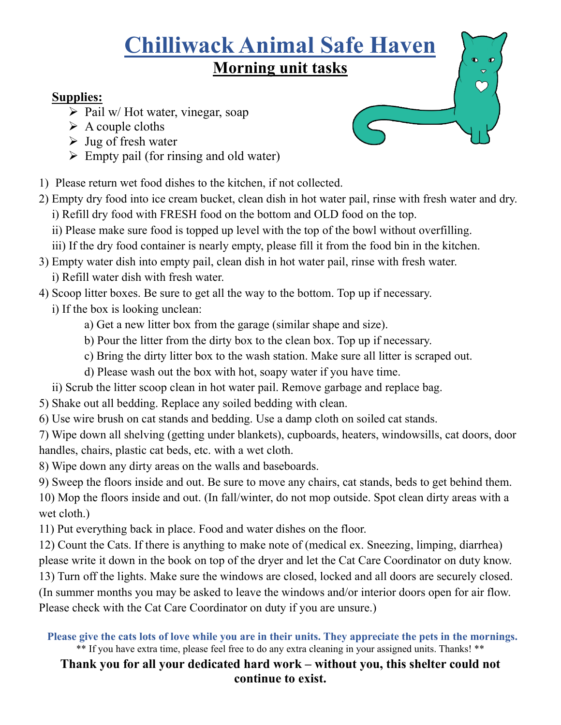## **Chilliwack Animal Safe Haven**

### **Morning unit tasks**

#### **Supplies:**

- $\triangleright$  Pail w/ Hot water, vinegar, soap
- $\triangleright$  A couple cloths
- $\triangleright$  Jug of fresh water
- $\triangleright$  Empty pail (for rinsing and old water)
- 1) Please return wet food dishes to the kitchen, if not collected.
- 2) Empty dry food into ice cream bucket, clean dish in hot water pail, rinse with fresh water and dry.
	- i) Refill dry food with FRESH food on the bottom and OLD food on the top.
	- ii) Please make sure food is topped up level with the top of the bowl without overfilling.
	- iii) If the dry food container is nearly empty, please fill it from the food bin in the kitchen.
- 3) Empty water dish into empty pail, clean dish in hot water pail, rinse with fresh water.
	- i) Refill water dish with fresh water.
- 4) Scoop litter boxes. Be sure to get all the way to the bottom. Top up if necessary.
	- i) If the box is looking unclean:
		- a) Get a new litter box from the garage (similar shape and size).
		- b) Pour the litter from the dirty box to the clean box. Top up if necessary.
		- c) Bring the dirty litter box to the wash station. Make sure all litter is scraped out.
		- d) Please wash out the box with hot, soapy water if you have time.
	- ii) Scrub the litter scoop clean in hot water pail. Remove garbage and replace bag.
- 5) Shake out all bedding. Replace any soiled bedding with clean.
- 6) Use wire brush on cat stands and bedding. Use a damp cloth on soiled cat stands.
- 7) Wipe down all shelving (getting under blankets), cupboards, heaters, windowsills, cat doors, door handles, chairs, plastic cat beds, etc. with a wet cloth.
- 8) Wipe down any dirty areas on the walls and baseboards.
- 9) Sweep the floors inside and out. Be sure to move any chairs, cat stands, beds to get behind them. 10) Mop the floors inside and out. (In fall/winter, do not mop outside. Spot clean dirty areas with a wet cloth.)
- 11) Put everything back in place. Food and water dishes on the floor.
- 12) Count the Cats. If there is anything to make note of (medical ex. Sneezing, limping, diarrhea)
- please write it down in the book on top of the dryer and let the Cat Care Coordinator on duty know.
- 13) Turn off the lights. Make sure the windows are closed, locked and all doors are securely closed.
- (In summer months you may be asked to leave the windows and/or interior doors open for air flow. Please check with the Cat Care Coordinator on duty if you are unsure.)
	- **Please give the cats lots of love while you are in their units. They appreciate the pets in the mornings.** \*\* If you have extra time, please feel free to do any extra cleaning in your assigned units. Thanks! \*\*

#### **Thank you for all your dedicated hard work – without you, this shelter could not continue to exist.**